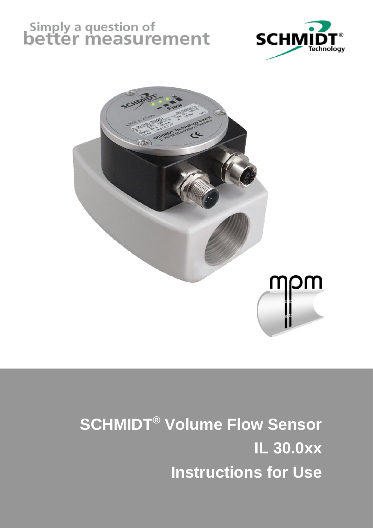# Simply a question of<br>**better measurement**





# **SCHMIDT® Volume Flow Sensor IL 30.0xx Instructions for Use**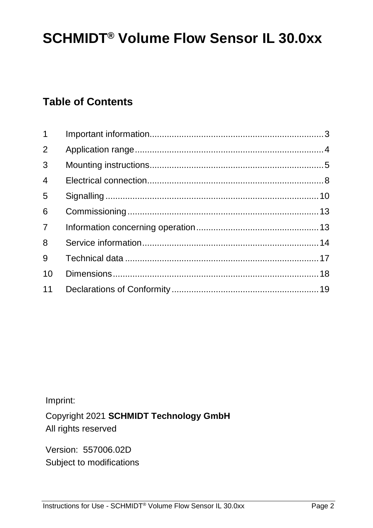# **SCHMIDT® Volume Flow Sensor IL 30.0xx**

# **Table of Contents**

| $1 \quad$      |  |
|----------------|--|
| $\overline{2}$ |  |
| 3              |  |
| $\overline{4}$ |  |
| 5              |  |
| 6              |  |
| $\overline{7}$ |  |
| 8              |  |
| 9              |  |
| 10             |  |
| 11             |  |

Imprint:

Copyright 2021 **SCHMIDT Technology GmbH** All rights reserved

Version: 557006.02D Subject to modifications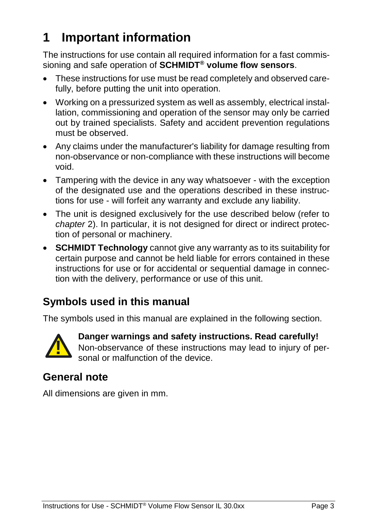# <span id="page-2-0"></span>**1 Important information**

The instructions for use contain all required information for a fast commissioning and safe operation of **SCHMIDT® volume flow sensors**.

- These instructions for use must be read completely and observed carefully, before putting the unit into operation.
- Working on a pressurized system as well as assembly, electrical installation, commissioning and operation of the sensor may only be carried out by trained specialists. Safety and accident prevention regulations must be observed.
- Any claims under the manufacturer's liability for damage resulting from non-observance or non-compliance with these instructions will become void.
- Tampering with the device in any way whatsoever with the exception of the designated use and the operations described in these instructions for use - will forfeit any warranty and exclude any liability.
- The unit is designed exclusively for the use described below (refer to *chapter* [2\)](#page-3-0). In particular, it is not designed for direct or indirect protection of personal or machinery.
- **SCHMIDT Technology** cannot give any warranty as to its suitability for certain purpose and cannot be held liable for errors contained in these instructions for use or for accidental or sequential damage in connection with the delivery, performance or use of this unit.

### **Symbols used in this manual**

The symbols used in this manual are explained in the following section.



**Danger warnings and safety instructions. Read carefully!**  Non-observance of these instructions may lead to injury of personal or malfunction of the device.

### **General note**

All dimensions are given in mm.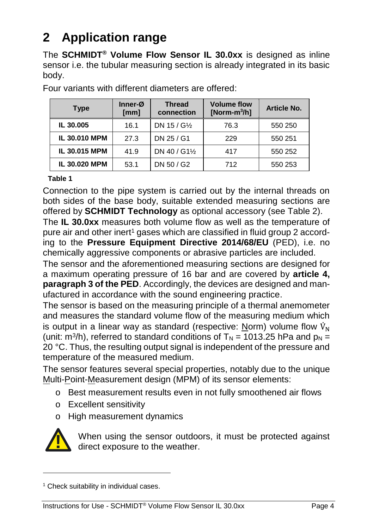# <span id="page-3-0"></span>**2 Application range**

The **SCHMIDT® Volume Flow Sensor IL 30.0xx** is designed as inline sensor i.e. the tubular measuring section is already integrated in its basic body.

| <b>Type</b>   | $Inner-\varnothing$<br>[mm] | <b>Thread</b><br>connection | <b>Volume flow</b><br>[Norm- $m^3/h$ ] | Article No. |
|---------------|-----------------------------|-----------------------------|----------------------------------------|-------------|
| IL 30,005     | 16.1                        | DN 15 / G1/2                | 76.3                                   | 550 250     |
| IL 30.010 MPM | 27.3                        | DN 25 / G1                  | 229                                    | 550 251     |
| IL 30.015 MPM | 41.9                        | DN 40 / G11/2               | 417                                    | 550 252     |
| IL 30.020 MPM | 53.1                        | DN 50 / G2                  | 712                                    | 550 253     |

Four variants with different diameters are offered:

#### **Table 1**

Connection to the pipe system is carried out by the internal threads on both sides of the base body, suitable extended measuring sections are offered by **SCHMIDT Technology** as optional accessory (see [Table 2\)](#page-6-0).

The **IL 30.0xx** measures both volume flow as well as the temperature of pure air and other inert<sup>1</sup> gases which are classified in fluid group 2 according to the **Pressure Equipment Directive 2014/68/EU** (PED), i.e. no chemically aggressive components or abrasive particles are included.

The sensor and the aforementioned measuring sections are designed for a maximum operating pressure of 16 bar and are covered by **article 4, paragraph 3 of the PED**. Accordingly, the devices are designed and manufactured in accordance with the sound engineering practice.

The sensor is based on the measuring principle of a thermal anemometer and measures the standard volume flow of the measuring medium which is output in a linear way as standard (respective: Norm) volume flow  $V_{\rm M}$ (unit: m<sup>3</sup>/h), referred to standard conditions of  $T_N = 1013.25$  hPa and  $p_N =$ 20 °C. Thus, the resulting output signal is independent of the pressure and temperature of the measured medium.

The sensor features several special properties, notably due to the unique Multi-Point-Measurement design (MPM) of its sensor elements:

- o Best measurement results even in not fully smoothened air flows
- o Excellent sensitivity
- o High measurement dynamics



l

When using the sensor outdoors, it must be protected against direct exposure to the weather.

<sup>&</sup>lt;sup>1</sup> Check suitability in individual cases.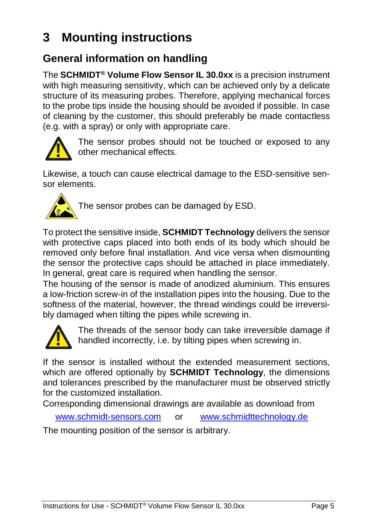# <span id="page-4-0"></span>**3 Mounting instructions**

## **General information on handling**

The **SCHMIDT® Volume Flow Sensor IL 30.0xx** is a precision instrument with high measuring sensitivity, which can be achieved only by a delicate structure of its measuring probes. Therefore, applying mechanical forces to the probe tips inside the housing should be avoided if possible. In case of cleaning by the customer, this should preferably be made contactless (e.g. with a spray) or only with appropriate care.



The sensor probes should not be touched or exposed to any other mechanical effects.

Likewise, a touch can cause electrical damage to the ESD-sensitive sensor elements.



The sensor probes can be damaged by ESD.

To protect the sensitive inside, **SCHMIDT Technology** delivers the sensor with protective caps placed into both ends of its body which should be removed only before final installation. And vice versa when dismounting the sensor the protective caps should be attached in place immediately. In general, great care is required when handling the sensor.

The housing of the sensor is made of anodized aluminium. This ensures a low-friction screw-in of the installation pipes into the housing. Due to the softness of the material, however, the thread windings could be irreversibly damaged when tilting the pipes while screwing in.



The threads of the sensor body can take irreversible damage if handled incorrectly, i.e. by tilting pipes when screwing in.

If the sensor is installed without the extended measurement sections, which are offered optionally by **SCHMIDT Technology**, the dimensions and tolerances prescribed by the manufacturer must be observed strictly for the customized installation.

Corresponding dimensional drawings are available as download from

[www.schmidt-sensors.com](http://www.schmidt-sensors.com/) or [www.schmidttechnology.de](http://www.schmidttechnology.de/)

The mounting position of the sensor is arbitrary.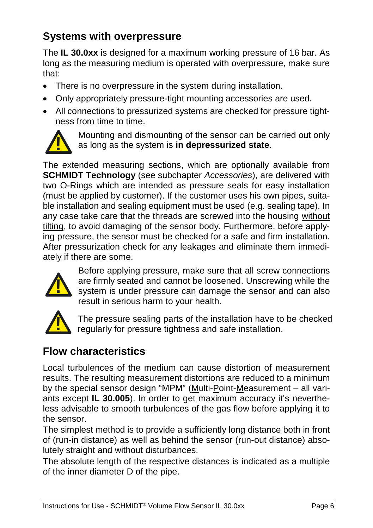# **Systems with overpressure**

The **IL 30.0xx** is designed for a maximum working pressure of 16 bar. As long as the measuring medium is operated with overpressure, make sure that:

- There is no overpressure in the system during installation.
- Only appropriately pressure-tight mounting accessories are used.
- All connections to pressurized systems are checked for pressure tightness from time to time.



Mounting and dismounting of the sensor can be carried out only as long as the system is **in depressurized state**.

The extended measuring sections, which are optionally available from **SCHMIDT Technology** (see subchapter *[Accessories](#page-6-1)*), are delivered with two O-Rings which are intended as pressure seals for easy installation (must be applied by customer). If the customer uses his own pipes, suitable installation and sealing equipment must be used (e.g. sealing tape). In any case take care that the threads are screwed into the housing without tilting, to avoid damaging of the sensor body. Furthermore, before applying pressure, the sensor must be checked for a safe and firm installation. After pressurization check for any leakages and eliminate them immediately if there are some.



Before applying pressure, make sure that all screw connections are firmly seated and cannot be loosened. Unscrewing while the system is under pressure can damage the sensor and can also result in serious harm to your health.



The pressure sealing parts of the installation have to be checked regularly for pressure tightness and safe installation.

# **Flow characteristics**

Local turbulences of the medium can cause distortion of measurement results. The resulting measurement distortions are reduced to a minimum by the special sensor design "MPM" (Multi-Point-Measurement – all variants except **IL 30.005**). In order to get maximum accuracy it's nevertheless advisable to smooth turbulences of the gas flow before applying it to the sensor.

The simplest method is to provide a sufficiently long distance both in front of (run-in distance) as well as behind the sensor (run-out distance) absolutely straight and without disturbances.

The absolute length of the respective distances is indicated as a multiple of the inner diameter D of the pipe.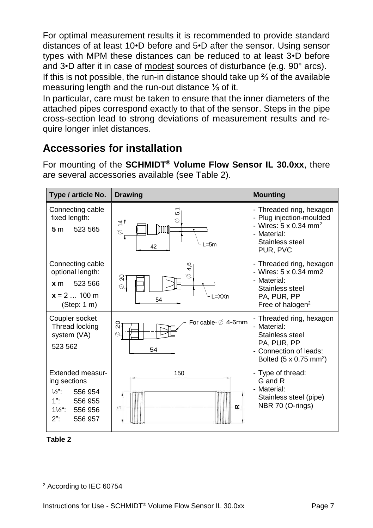For optimal measurement results it is recommended to provide standard distances of at least 10•D before and 5•D after the sensor. Using sensor types with MPM these distances can be reduced to at least 3•D before and 3•D after it in case of modest sources of disturbance (e.g. 90° arcs). If this is not possible, the run-in distance should take up ⅔ of the available measuring length and the run-out distance ⅓ of it.

In particular, care must be taken to ensure that the inner diameters of the attached pipes correspond exactly to that of the sensor. Steps in the pipe cross-section lead to strong deviations of measurement results and require longer inlet distances.

### <span id="page-6-1"></span>**Accessories for installation**

For mounting of the **SCHMIDT® Volume Flow Sensor IL 30.0xx**, there are several accessories available (see [Table 2\)](#page-6-0).

| Type / article No.                                                                                                                       | <b>Drawing</b>                                            | <b>Mounting</b>                                                                                                                                |  |
|------------------------------------------------------------------------------------------------------------------------------------------|-----------------------------------------------------------|------------------------------------------------------------------------------------------------------------------------------------------------|--|
| Connecting cable<br>fixed length:<br>523 565<br>5 <sub>m</sub>                                                                           | 5,1<br>Q<br>$\overline{4}$<br>mm<br>Ø<br>$=5m$<br>42      | - Threaded ring, hexagon<br>- Plug injection-moulded<br>- Wires: $5 \times 0.34$ mm <sup>2</sup><br>- Material:<br>Stainless steel<br>PUR. PVC |  |
| Connecting cable<br>optional length:<br>523 566<br>x <sub>m</sub><br>$x = 2$ 100 m<br>(Step: 1 m)                                        | 4,6<br>Ø<br>ຊ<br>$=XXrr$<br>54                            | - Threaded ring, hexagon<br>- Wires: 5 x 0.34 mm2<br>- Material:<br>Stainless steel<br>PA, PUR, PP<br>Free of halogen <sup>2</sup>             |  |
| Coupler socket<br>Thread locking<br>system (VA)<br>523 562                                                                               | For cable- $\emptyset$ 4-6mm<br>$\overline{0}$<br>Q<br>54 | - Threaded ring, hexagon<br>- Material:<br>Stainless steel<br>PA, PUR, PP<br>- Connection of leads:<br>Bolted $(5 \times 0.75 \text{ mm}^2)$   |  |
| Extended measur-<br>ing sections<br>$\frac{1}{2}$ .<br>556 954<br>$1"$ :<br>556 955<br>$1\frac{1}{2}$ ":<br>556 956<br>$2$ ":<br>556 957 | 150<br>$\propto$<br>Ü                                     | - Type of thread:<br>G and R<br>- Material:<br>Stainless steel (pipe)<br>NBR 70 (O-rings)                                                      |  |

<span id="page-6-0"></span>

l

<sup>2</sup> According to IEC 60754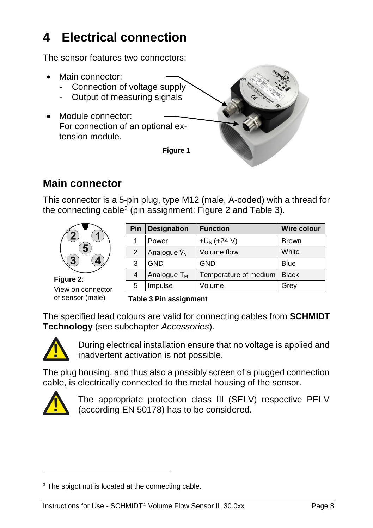# <span id="page-7-0"></span>**4 Electrical connection**

The sensor features two connectors:

- Main connector:
	- Connection of voltage supply
	- Output of measuring signals
- <span id="page-7-3"></span> Module connector: For connection of an optional extension module.

**Figure 1**



### **Main connector**

This connector is a 5-pin plug, type M12 (male, A-coded) with a thread for the connecting cable<sup>3</sup> (pin assignment: [Figure 2](#page-7-1) and [Table 3\)](#page-7-2).



**Figure 2**: View on connector of sensor (male)

| Pin | <b>Designation</b> | <b>Function</b>       | <b>Wire colour</b> |
|-----|--------------------|-----------------------|--------------------|
| 1   | Power              | $+U_s$ (+24 V)        | <b>Brown</b>       |
| 2   | Analogue $V_{N}$   | Volume flow           | White              |
| 3   | <b>GND</b>         | <b>GND</b>            | <b>Blue</b>        |
| 4   | Analogue $T_M$     | Temperature of medium | <b>Black</b>       |
| 5   | Impulse            | Volume                | Grey               |

<span id="page-7-2"></span>**Table 3 Pin assignment**

<span id="page-7-1"></span>The specified lead colours are valid for connecting cables from **SCHMIDT Technology** (see subchapter *[Accessories](#page-6-1)*).



During electrical installation ensure that no voltage is applied and inadvertent activation is not possible.

The plug housing, and thus also a possibly screen of a plugged connection cable, is electrically connected to the metal housing of the sensor. During electrical installation ens<br>
The plug housing, and thus also a possible<br>
cable, is electrically connected to the me<br>
The appropriate protection cla<br>
(according EN 50178) has to be<br>
<sup>3</sup>The spigot nut is located at th



l

The appropriate protection class III (SELV) respective PELV (according EN 50178) has to be considered.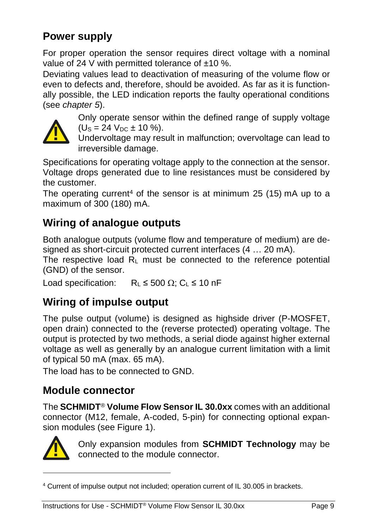# **Power supply**

For proper operation the sensor requires direct voltage with a nominal value of 24 V with permitted tolerance of  $\pm$ 10 %.

Deviating values lead to deactivation of measuring of the volume flow or even to defects and, therefore, should be avoided. As far as it is functionally possible, the LED indication reports the faulty operational conditions (see *chapter [5](#page-9-0)*).



Only operate sensor within the defined range of supply voltage  $(U_s = 24$   $V_{DC} \pm 10$  %).

Undervoltage may result in malfunction; overvoltage can lead to irreversible damage.

Specifications for operating voltage apply to the connection at the sensor. Voltage drops generated due to line resistances must be considered by the customer.

The operating current<sup>4</sup> of the sensor is at minimum 25 (15) mA up to a maximum of 300 (180) mA.

# **Wiring of analogue outputs**

Both analogue outputs (volume flow and temperature of medium) are designed as short-circuit protected current interfaces (4 … 20 mA).

The respective load  $R<sub>L</sub>$  must be connected to the reference potential (GND) of the sensor.

Load specification:  $R_L \le 500 \Omega$ ; C<sub>L</sub>  $\le 10$  nF

# **Wiring of impulse output**

The pulse output (volume) is designed as highside driver (P-MOSFET, open drain) connected to the (reverse protected) operating voltage. The output is protected by two methods, a serial diode against higher external voltage as well as generally by an analogue current limitation with a limit of typical 50 mA (max. 65 mA). **(1)**  $\epsilon = 24 \text{ Voc} \pm 10 \text{ Vs}$ .<br>
Undervoltage may result in malfunction; overvoltage can irreversible damage.<br>
Specifications for operating voltage apply to the connection at the stellar<br>
Voltage drops generated due to l

The load has to be connected to GND.

### **Module connector**

The **SCHMIDT**® **Volume Flow Sensor IL 30.0xx** comes with an additional connector (M12, female, A-coded, 5-pin) for connecting optional expansion modules (see [Figure 1\)](#page-7-3).



l

Only expansion modules from **SCHMIDT Technology** may be connected to the module connector.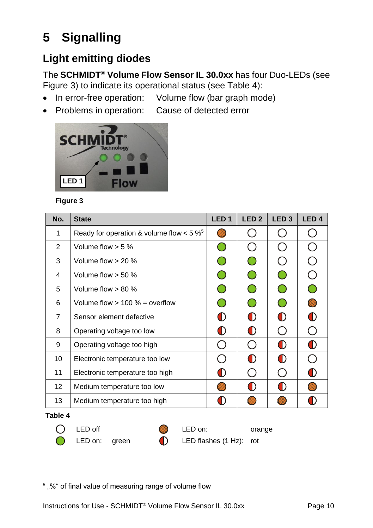# <span id="page-9-0"></span>**5 Signalling**

# **Light emitting diodes**

The **SCHMIDT® Volume Flow Sensor IL 30.0xx** has four Duo-LEDs (see [Figure 3\)](#page-9-1) to indicate its operational status (see [Table 4\)](#page-9-2):

- In error-free operation: Volume flow (bar graph mode)
- Problems in operation: Cause of detected error



#### <span id="page-9-1"></span>**Figure 3**

| No.             | <b>State</b>                               | LED <sub>1</sub> | LED <sub>2</sub>                              | LED <sub>3</sub>                              | LED <sub>4</sub> |
|-----------------|--------------------------------------------|------------------|-----------------------------------------------|-----------------------------------------------|------------------|
| 1               | Ready for operation & volume flow $< 5 \%$ | K.               |                                               |                                               |                  |
| 2               | Volume flow $> 5 \%$                       |                  |                                               |                                               |                  |
| 3               | Volume flow $> 20$ %                       |                  | $\left( \begin{array}{c} \end{array} \right)$ | $\left( \begin{array}{c} \end{array} \right)$ |                  |
| 4               | Volume flow $>$ 50 %                       |                  | $\left( \begin{array}{c} \end{array} \right)$ | (    )                                        |                  |
| 5               | Volume flow $> 80 \%$                      |                  | 0                                             | ( )                                           |                  |
| 6               | Volume flow $> 100 \%$ = overflow          |                  |                                               |                                               |                  |
| $\overline{7}$  | Sensor element defective                   | O)               | O                                             | O                                             | O                |
| 8               | Operating voltage too low                  | (I)              | O                                             |                                               |                  |
| 9               | Operating voltage too high                 |                  |                                               | O)                                            | O                |
| 10              | Electronic temperature too low             |                  | O)                                            | O)                                            |                  |
| 11              | Electronic temperature too high            | $\blacklozenge$  | ( )                                           | $\overline{\phantom{0}}$                      | O                |
| 12 <sup>2</sup> | Medium temperature too low                 | 68               | O                                             | O)                                            |                  |
| 13              | Medium temperature too high                |                  |                                               |                                               |                  |
| $T - L L$       |                                            |                  |                                               |                                               |                  |

#### <span id="page-9-2"></span>**Table 4**

l

◯

LED off COMPUTED on: COMPUTED on: corange

LED on: green **C** LED flashes (1 Hz): rot

<sup>&</sup>lt;sup>5</sup>, %" of final value of measuring range of volume flow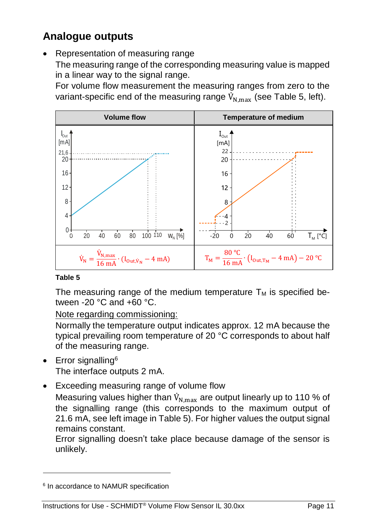# **Analogue outputs**

 Representation of measuring range The measuring range of the corresponding measuring value is mapped in a linear way to the signal range.

For volume flow measurement the measuring ranges from zero to the variant-specific end of the measuring range  $\dot{V}_{N,\text{max}}$  (see [Table 5,](#page-10-0) left).



#### <span id="page-10-0"></span>**Table 5**

The measuring range of the medium temperature  $T_M$  is specified between -20 °C and +60 °C.

Note regarding commissioning:

Normally the temperature output indicates approx. 12 mA because the typical prevailing room temperature of 20 °C corresponds to about half of the measuring range.

 $\bullet$  Error signalling<sup>6</sup>

l

The interface outputs 2 mA.

Exceeding measuring range of volume flow

Measuring values higher than  $\dot{V}_{N\text{max}}$  are output linearly up to 110 % of the signalling range (this corresponds to the maximum output of 21.6 mA, see left image i[n Table 5\)](#page-10-0). For higher values the output signal remains constant.

Error signalling doesn't take place because damage of the sensor is unlikely.

<sup>&</sup>lt;sup>6</sup> In accordance to NAMUR specification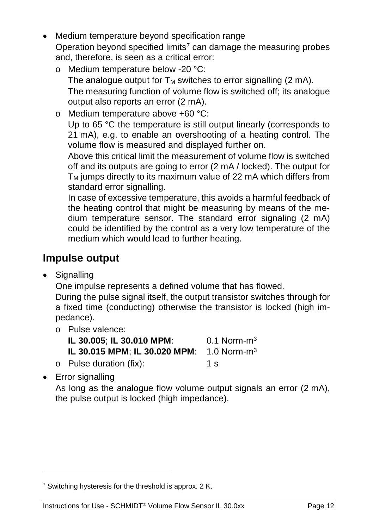- Medium temperature beyond specification range Operation beyond specified limits<sup>7</sup> can damage the measuring probes and, therefore, is seen as a critical error:
	- o Medium temperature below -20 °C: The analogue output for  $T_M$  switches to error signalling (2 mA). The measuring function of volume flow is switched off; its analogue output also reports an error (2 mA).
	- o Medium temperature above +60 °C: Up to 65 °C the temperature is still output linearly (corresponds to 21 mA), e.g. to enable an overshooting of a heating control. The volume flow is measured and displayed further on.

Above this critical limit the measurement of volume flow is switched off and its outputs are going to error (2 mA / locked). The output for  $T_M$  jumps directly to its maximum value of 22 mA which differs from standard error signalling.

In case of excessive temperature, this avoids a harmful feedback of the heating control that might be measuring by means of the medium temperature sensor. The standard error signaling (2 mA) could be identified by the control as a very low temperature of the medium which would lead to further heating.

### **Impulse output**

• Signalling

One impulse represents a defined volume that has flowed.

During the pulse signal itself, the output transistor switches through for a fixed time (conducting) otherwise the transistor is locked (high impedance).

o Pulse valence:

| IL 30.005; IL 30.010 MPM:                             | $0.1$ Norm-m <sup>3</sup> |
|-------------------------------------------------------|---------------------------|
| IL 30.015 MPM; IL 30.020 MPM: 1.0 Norm-m <sup>3</sup> |                           |
| o Pulse duration (fix):                               | 1 s                       |

• Error signalling

l

As long as the analogue flow volume output signals an error (2 mA), the pulse output is locked (high impedance).

<sup>&</sup>lt;sup>7</sup> Switching hysteresis for the threshold is approx. 2 K.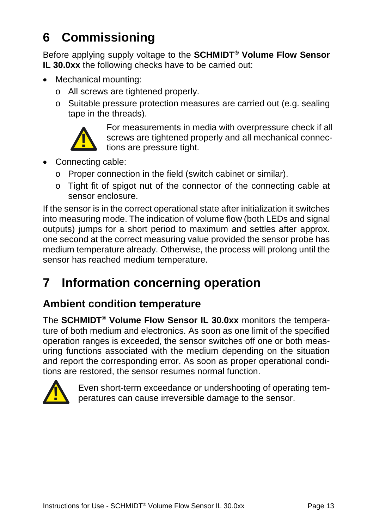# <span id="page-12-0"></span>**6 Commissioning**

Before applying supply voltage to the **SCHMIDT® Volume Flow Sensor IL 30.0xx** the following checks have to be carried out:

- Mechanical mounting:
	- o All screws are tightened properly.
	- o Suitable pressure protection measures are carried out (e.g. sealing tape in the threads).



For measurements in media with overpressure check if all screws are tightened properly and all mechanical connections are pressure tight.

- Connecting cable:
	- o Proper connection in the field (switch cabinet or similar).
	- o Tight fit of spigot nut of the connector of the connecting cable at sensor enclosure.

If the sensor is in the correct operational state after initialization it switches into measuring mode. The indication of volume flow (both LEDs and signal outputs) jumps for a short period to maximum and settles after approx. one second at the correct measuring value provided the sensor probe has medium temperature already. Otherwise, the process will prolong until the sensor has reached medium temperature.

# <span id="page-12-1"></span>**7 Information concerning operation**

### **Ambient condition temperature**

The **SCHMIDT® Volume Flow Sensor IL 30.0xx** monitors the temperature of both medium and electronics. As soon as one limit of the specified operation ranges is exceeded, the sensor switches off one or both measuring functions associated with the medium depending on the situation and report the corresponding error. As soon as proper operational conditions are restored, the sensor resumes normal function.



Even short-term exceedance or undershooting of operating temperatures can cause irreversible damage to the sensor.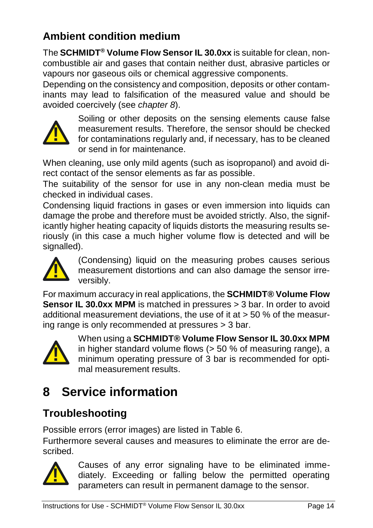# **Ambient condition medium**

The **SCHMIDT® Volume Flow Sensor IL 30.0xx** is suitable for clean, noncombustible air and gases that contain neither dust, abrasive particles or vapours nor gaseous oils or chemical aggressive components.

Depending on the consistency and composition, deposits or other contaminants may lead to falsification of the measured value and should be avoided coercively (see *chapter [8](#page-13-0)*).



Soiling or other deposits on the sensing elements cause false measurement results. Therefore, the sensor should be checked for contaminations regularly and, if necessary, has to be cleaned or send in for maintenance.

When cleaning, use only mild agents (such as isopropanol) and avoid direct contact of the sensor elements as far as possible.

The suitability of the sensor for use in any non-clean media must be checked in individual cases.

Condensing liquid fractions in gases or even immersion into liquids can damage the probe and therefore must be avoided strictly. Also, the significantly higher heating capacity of liquids distorts the measuring results seriously (in this case a much higher volume flow is detected and will be signalled). **Example the sensor in the sensor is entired to the sensor should be chemic for contaminations regularly and, if necessary, has to be cle or send in for maintenance.<br>
to contact of the sensor elements as far as possible.<br>** 



(Condensing) liquid on the measuring probes causes serious measurement distortions and can also damage the sensor irreversibly.

For maximum accuracy in real applications, the **SCHMIDT® Volume Flow Sensor IL 30.0xx MPM** is matched in pressures > 3 bar. In order to avoid additional measurement deviations, the use of it at > 50 % of the measuring range is only recommended at pressures > 3 bar.



When using a **SCHMIDT® Volume Flow Sensor IL 30.0xx MPM** in higher standard volume flows (> 50 % of measuring range), a minimum operating pressure of 3 bar is recommended for optimal measurement results.

# <span id="page-13-0"></span>**8 Service information**

# **Troubleshooting**

Possible errors (error images) are listed in [Table 6.](#page-14-0)

Furthermore several causes and measures to eliminate the error are described.



Causes of any error signaling have to be eliminated immediately. Exceeding or falling below the permitted operating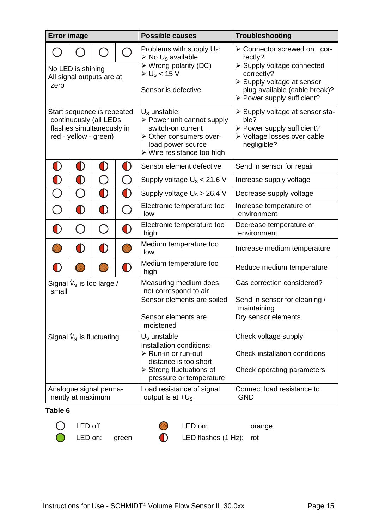| <b>Error image</b>                                                                                         |            |                                               |                                | <b>Possible causes</b>                                                                                                                                                                | Troubleshooting                                                                                                                                                                 |  |  |
|------------------------------------------------------------------------------------------------------------|------------|-----------------------------------------------|--------------------------------|---------------------------------------------------------------------------------------------------------------------------------------------------------------------------------------|---------------------------------------------------------------------------------------------------------------------------------------------------------------------------------|--|--|
| No LED is shining<br>All signal outputs are at<br>zero                                                     |            |                                               |                                | Problems with supply $U_s$ :<br>$\triangleright$ No U <sub>s</sub> available<br>$\triangleright$ Wrong polarity (DC)<br>$\triangleright$ U <sub>s</sub> < 15 V<br>Sensor is defective | > Connector screwed on cor-<br>rectiv?<br>> Supply voltage connected<br>correctly?<br>> Supply voltage at sensor<br>plug available (cable break)?<br>> Power supply sufficient? |  |  |
| Start sequence is repeated<br>continuously (all LEDs<br>flashes simultaneously in<br>red - yellow - green) |            |                                               |                                | $Us$ unstable:<br>> Power unit cannot supply<br>switch-on current<br>> Other consumers over-<br>load power source<br>$\triangleright$ Wire resistance too high                        | > Supply voltage at sensor sta-<br>ble?<br>> Power supply sufficient?<br>> Voltage losses over cable<br>negligible?                                                             |  |  |
| $\bf O$                                                                                                    | $\bf{O}$   | O)                                            | $\bf O$                        | Sensor element defective                                                                                                                                                              | Send in sensor for repair                                                                                                                                                       |  |  |
| $\bf O$                                                                                                    | $\bf O$    | $\left( \begin{array}{c} \end{array} \right)$ | $\bigcap$                      | Supply voltage $U_s < 21.6$ V                                                                                                                                                         | Increase supply voltage                                                                                                                                                         |  |  |
| $\overline{\bigcirc}$                                                                                      |            | $\bigcirc$                                    | $\bf O$                        | Supply voltage $U_s > 26.4$ V                                                                                                                                                         | Decrease supply voltage                                                                                                                                                         |  |  |
| ◯                                                                                                          | $\bf{O}$   | $\bf O$                                       | ◯                              | Electronic temperature too<br>low                                                                                                                                                     | Increase temperature of<br>environment                                                                                                                                          |  |  |
| ∩                                                                                                          | ( )        | $\left(\begin{array}{c} 1 \end{array}\right)$ | $\bf{O}$                       | Electronic temperature too<br>high                                                                                                                                                    | Decrease temperature of<br>environment                                                                                                                                          |  |  |
|                                                                                                            | $\bigcirc$ | O                                             | <b>KR</b>                      | Medium temperature too<br>low                                                                                                                                                         | Increase medium temperature                                                                                                                                                     |  |  |
| $\bf{O}$<br>$\bf O$                                                                                        |            |                                               | Medium temperature too<br>high | Reduce medium temperature                                                                                                                                                             |                                                                                                                                                                                 |  |  |
| Signal $\dot{V}_N$ is too large /<br>small                                                                 |            |                                               |                                | Measuring medium does<br>not correspond to air<br>Sensor elements are soiled<br>Sensor elements are<br>moistened                                                                      | Gas correction considered?<br>Send in sensor for cleaning /<br>maintaining<br>Dry sensor elements                                                                               |  |  |
| Signal $V_N$ is fluctuating                                                                                |            |                                               |                                | $U_{\rm s}$ unstable<br>Installation conditions:<br>$\triangleright$ Run-in or run-out<br>distance is too short<br>$\triangleright$ Strong fluctuations of<br>pressure or temperature | Check voltage supply<br>Check installation conditions<br>Check operating parameters<br>Connect load resistance to                                                               |  |  |
| Analogue signal perma-<br>nently at maximum                                                                |            |                                               |                                | Load resistance of signal<br>output is at $+U_s$                                                                                                                                      | <b>GND</b>                                                                                                                                                                      |  |  |

#### <span id="page-14-0"></span>**Table 6**



LED off **LED** on: orange



LED on: green (D) LED flashes (1 Hz): rot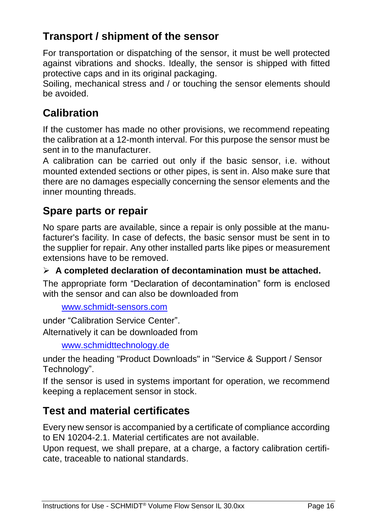# **Transport / shipment of the sensor**

For transportation or dispatching of the sensor, it must be well protected against vibrations and shocks. Ideally, the sensor is shipped with fitted protective caps and in its original packaging.

Soiling, mechanical stress and / or touching the sensor elements should be avoided.

# **Calibration**

If the customer has made no other provisions, we recommend repeating the calibration at a 12-month interval. For this purpose the sensor must be sent in to the manufacturer.

A calibration can be carried out only if the basic sensor, i.e. without mounted extended sections or other pipes, is sent in. Also make sure that there are no damages especially concerning the sensor elements and the inner mounting threads.

### **Spare parts or repair**

No spare parts are available, since a repair is only possible at the manufacturer's facility. In case of defects, the basic sensor must be sent in to the supplier for repair. Any other installed parts like pipes or measurement extensions have to be removed.

**A completed declaration of decontamination must be attached.**

The appropriate form "Declaration of decontamination" form is enclosed with the sensor and can also be downloaded from

```
www.schmidt-sensors.com
```
under "Calibration Service Center". Alternatively it can be downloaded from

[www.schmidttechnology.de](http://www.schmidttechnology.de/)

under the heading "Product Downloads" in "Service & Support / Sensor Technology".

If the sensor is used in systems important for operation, we recommend keeping a replacement sensor in stock.

# **Test and material certificates**

Every new sensor is accompanied by a certificate of compliance according to EN 10204-2.1. Material certificates are not available.

Upon request, we shall prepare, at a charge, a factory calibration certificate, traceable to national standards.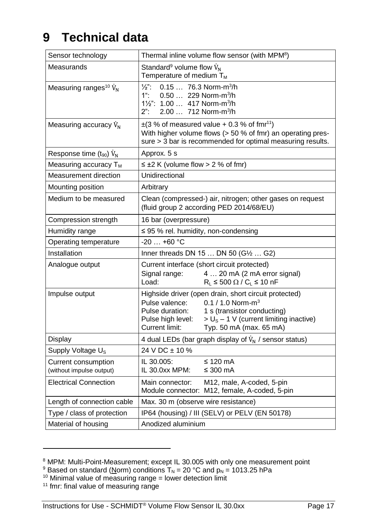# <span id="page-16-0"></span>**9 Technical data**

| Sensor technology                               | Thermal inline volume flow sensor (with MPM <sup>8</sup> )                                                                                                                                                                                                                   |                                                                            |  |  |
|-------------------------------------------------|------------------------------------------------------------------------------------------------------------------------------------------------------------------------------------------------------------------------------------------------------------------------------|----------------------------------------------------------------------------|--|--|
| Measurands                                      | Standard <sup>9</sup> volume flow $V_N$<br>Temperature of medium T <sub>M</sub>                                                                                                                                                                                              |                                                                            |  |  |
| Measuring ranges <sup>10</sup> $\dot{V}_N$      | $\frac{1}{2}$ .<br>$0.15$ 76.3 Norm-m <sup>3</sup> /h<br>$1$ ":<br>0.50  229 Norm-m <sup>3</sup> /h<br>11/2": 1.00  417 Norm-m <sup>3</sup> /h<br>$2$ ":<br>2.00  712 Norm-m <sup>3</sup> /h                                                                                 |                                                                            |  |  |
| Measuring accuracy $V_{N}$                      | $\pm$ (3 % of measured value + 0.3 % of fmr <sup>11</sup> )<br>With higher volume flows (> 50 % of fmr) an operating pres-<br>sure > 3 bar is recommended for optimal measuring results.                                                                                     |                                                                            |  |  |
| Response time (t <sub>90</sub> ) V <sub>N</sub> | Approx. 5 s                                                                                                                                                                                                                                                                  |                                                                            |  |  |
| Measuring accuracy $T_M$                        | $\leq \pm 2$ K (volume flow > 2 % of fmr)                                                                                                                                                                                                                                    |                                                                            |  |  |
| Measurement direction                           | Unidirectional                                                                                                                                                                                                                                                               |                                                                            |  |  |
| Mounting position                               | Arbitrary                                                                                                                                                                                                                                                                    |                                                                            |  |  |
| Medium to be measured                           | Clean (compressed-) air, nitrogen; other gases on request<br>(fluid group 2 according PED 2014/68/EU)                                                                                                                                                                        |                                                                            |  |  |
| Compression strength                            | 16 bar (overpressure)                                                                                                                                                                                                                                                        |                                                                            |  |  |
| Humidity range                                  | $\leq$ 95 % rel. humidity, non-condensing                                                                                                                                                                                                                                    |                                                                            |  |  |
| Operating temperature                           | $-20+60$ °C                                                                                                                                                                                                                                                                  |                                                                            |  |  |
| Installation                                    |                                                                                                                                                                                                                                                                              | Inner threads DN 15  DN 50 (G1/2  G2)                                      |  |  |
| Analogue output                                 | Current interface (short circuit protected)<br>Signal range:<br>4  20 mA (2 mA error signal)<br>Load:<br>$R_1 \leq 500 \Omega / C_1 \leq 10 \text{ nF}$                                                                                                                      |                                                                            |  |  |
| Impulse output                                  | Highside driver (open drain, short circuit protected)<br>0.1 / 1.0 Norm- $m^3$<br>Pulse valence:<br>Pulse duration:<br>1 s (transistor conducting)<br>$>$ U <sub>s</sub> – 1 V (current limiting inactive)<br>Pulse high level:<br>Current limit:<br>Typ. 50 mA (max. 65 mA) |                                                                            |  |  |
| Display                                         | 4 dual LEDs (bar graph display of $\dot{V}_N$ / sensor status)                                                                                                                                                                                                               |                                                                            |  |  |
| Supply Voltage U <sub>s</sub>                   | 24 V DC $\pm$ 10 %                                                                                                                                                                                                                                                           |                                                                            |  |  |
| Current consumption<br>(without impulse output) | IL 30.005:<br>IL 30.0xx MPM:                                                                                                                                                                                                                                                 | ≤ 120 mA<br>≤ 300 mA                                                       |  |  |
| <b>Electrical Connection</b>                    | Main connector:                                                                                                                                                                                                                                                              | M12, male, A-coded, 5-pin<br>Module connector: M12, female, A-coded, 5-pin |  |  |
| Length of connection cable                      | Max. 30 m (observe wire resistance)                                                                                                                                                                                                                                          |                                                                            |  |  |
| Type / class of protection                      | IP64 (housing) / III (SELV) or PELV (EN 50178)                                                                                                                                                                                                                               |                                                                            |  |  |
| Material of housing                             | Anodized aluminium                                                                                                                                                                                                                                                           |                                                                            |  |  |

l

<sup>&</sup>lt;sup>8</sup> MPM: Multi-Point-Measurement; except IL 30.005 with only one measurement point

<sup>&</sup>lt;sup>9</sup> Based on standard (Norm) conditions  $T_N$  = 20 °C and  $p_N$  = 1013.25 hPa

 $10$  Minimal value of measuring range = lower detection limit

<sup>&</sup>lt;sup>11</sup> fmr: final value of measuring range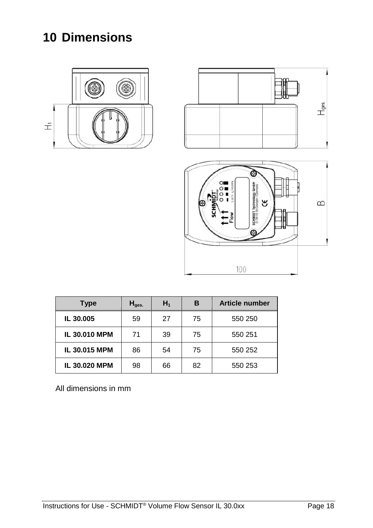# <span id="page-17-0"></span>**10 Dimensions**







| <b>Type</b>          | $H_{\text{des.}}$ | $H_1$ | в  | <b>Article number</b> |
|----------------------|-------------------|-------|----|-----------------------|
| IL 30.005            | 59                | 27    | 75 | 550 250               |
| <b>IL 30.010 MPM</b> | 71                | 39    | 75 | 550 251               |
| IL 30.015 MPM        | 86                | 54    | 75 | 550 252               |
| IL 30.020 MPM        | 98                | 66    | 82 | 550 253               |

All dimensions in mm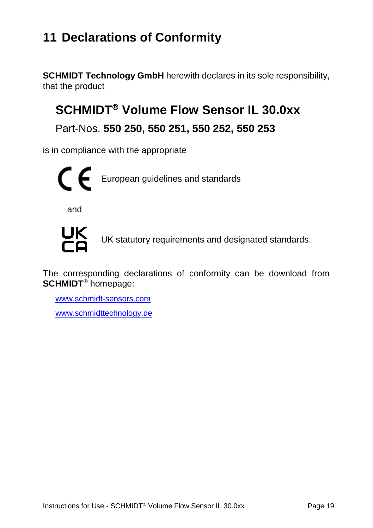# <span id="page-18-0"></span>**11 Declarations of Conformity**

**SCHMIDT Technology GmbH** herewith declares in its sole responsibility, that the product

# **SCHMIDT<sup>®</sup> Volume Flow Sensor IL 30.0xx**

Part-Nos. **550 250, 550 251, 550 252, 550 253**

is in compliance with the appropriate



and



UK statutory requirements and designated standards.

The corresponding declarations of conformity can be download from **SCHMIDT®** homepage:

[www.schmidt-sensors.com](http://www.schmidt-sensors.com/)

www.schmidttechnology.de